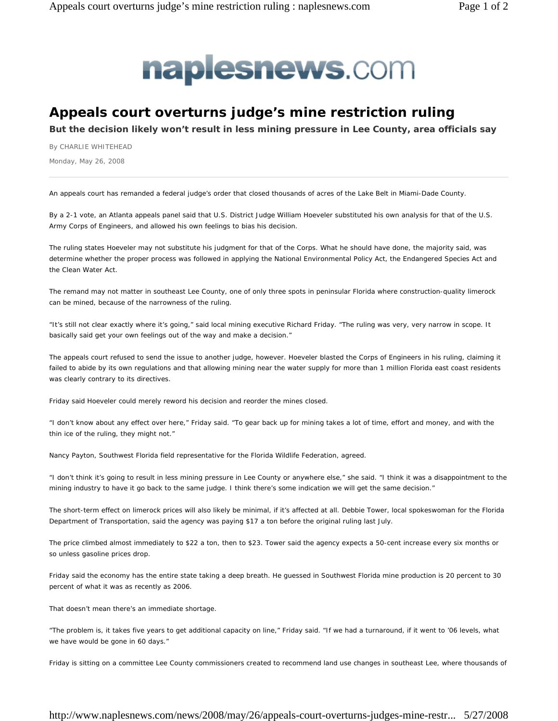

## **Appeals court overturns judge's mine restriction ruling**

**But the decision likely won't result in less mining pressure in Lee County, area officials say** 

By CHARLIE WHITEHEAD

Monday, May 26, 2008

An appeals court has remanded a federal judge's order that closed thousands of acres of the Lake Belt in Miami-Dade County.

By a 2-1 vote, an Atlanta appeals panel said that U.S. District Judge William Hoeveler substituted his own analysis for that of the U.S. Army Corps of Engineers, and allowed his own feelings to bias his decision.

The ruling states Hoeveler may not substitute his judgment for that of the Corps. What he should have done, the majority said, was determine whether the proper process was followed in applying the National Environmental Policy Act, the Endangered Species Act and the Clean Water Act.

The remand may not matter in southeast Lee County, one of only three spots in peninsular Florida where construction-quality limerock can be mined, because of the narrowness of the ruling.

"It's still not clear exactly where it's going," said local mining executive Richard Friday. "The ruling was very, very narrow in scope. It basically said get your own feelings out of the way and make a decision."

The appeals court refused to send the issue to another judge, however. Hoeveler blasted the Corps of Engineers in his ruling, claiming it failed to abide by its own regulations and that allowing mining near the water supply for more than 1 million Florida east coast residents was clearly contrary to its directives.

Friday said Hoeveler could merely reword his decision and reorder the mines closed.

"I don't know about any effect over here," Friday said. "To gear back up for mining takes a lot of time, effort and money, and with the thin ice of the ruling, they might not."

Nancy Payton, Southwest Florida field representative for the Florida Wildlife Federation, agreed.

"I don't think it's going to result in less mining pressure in Lee County or anywhere else," she said. "I think it was a disappointment to the mining industry to have it go back to the same judge. I think there's some indication we will get the same decision."

The short-term effect on limerock prices will also likely be minimal, if it's affected at all. Debbie Tower, local spokeswoman for the Florida Department of Transportation, said the agency was paying \$17 a ton before the original ruling last July.

The price climbed almost immediately to \$22 a ton, then to \$23. Tower said the agency expects a 50-cent increase every six months or so unless gasoline prices drop.

Friday said the economy has the entire state taking a deep breath. He guessed in Southwest Florida mine production is 20 percent to 30 percent of what it was as recently as 2006.

That doesn't mean there's an immediate shortage.

"The problem is, it takes five years to get additional capacity on line," Friday said. "If we had a turnaround, if it went to '06 levels, what we have would be gone in 60 days."

Friday is sitting on a committee Lee County commissioners created to recommend land use changes in southeast Lee, where thousands of

## http://www.naplesnews.com/news/2008/may/26/appeals-court-overturns-judges-mine-restr... 5/27/2008